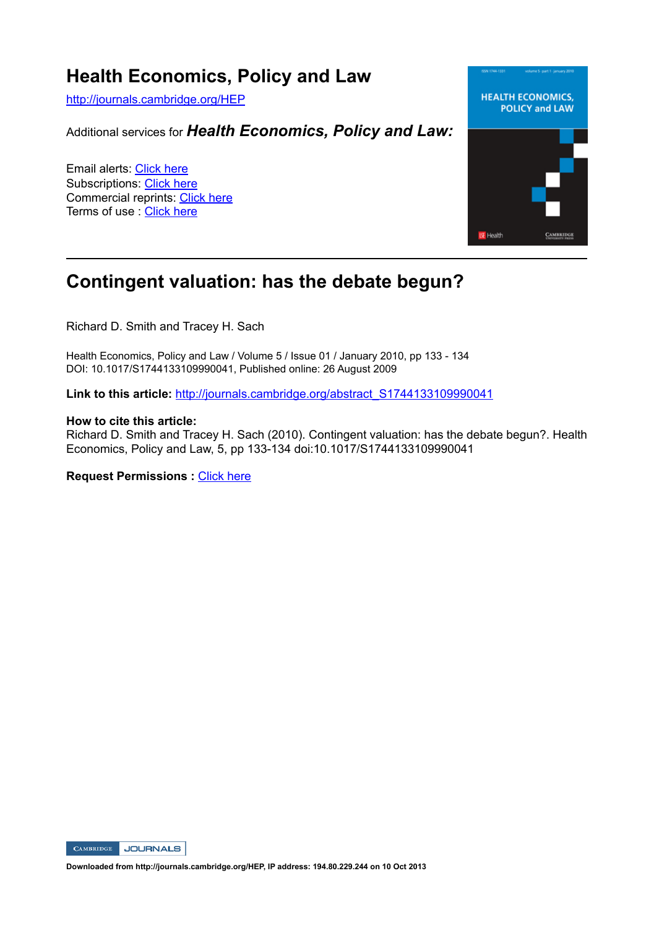## **Health Economics, Policy and Law**

http://journals.cambridge.org/HEP

Additional services for *Health Economics, Policy and Law:*

Email alerts: Click here Subscriptions: Click here Commercial reprints: Click here Terms of use : Click here



# **Contingent valuation: has the debate begun?**

Richard D. Smith and Tracey H. Sach

Health Economics, Policy and Law / Volume 5 / Issue 01 / January 2010, pp 133 - 134 DOI: 10.1017/S1744133109990041, Published online: 26 August 2009

Link to this article: http://journals.cambridge.org/abstract\_S1744133109990041

#### **How to cite this article:**

Richard D. Smith and Tracey H. Sach (2010). Contingent valuation: has the debate begun?. Health Economics, Policy and Law, 5, pp 133-134 doi:10.1017/S1744133109990041

**Request Permissions :** Click here



**Downloaded from http://journals.cambridge.org/HEP, IP address: 194.80.229.244 on 10 Oct 2013**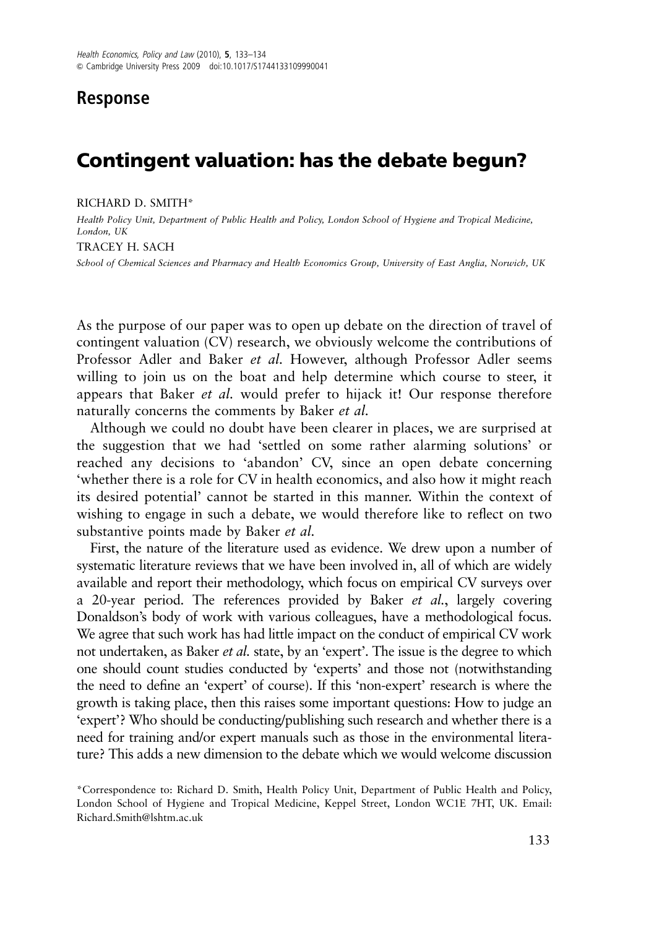### Response

## Contingent valuation: has the debate begun?

RICHARD D. SMITH\*

Health Policy Unit, Department of Public Health and Policy, London School of Hygiene and Tropical Medicine, London, UK

TRACEY H. SACH

School of Chemical Sciences and Pharmacy and Health Economics Group, University of East Anglia, Norwich, UK

As the purpose of our paper was to open up debate on the direction of travel of contingent valuation (CV) research, we obviously welcome the contributions of Professor Adler and Baker et al. However, although Professor Adler seems willing to join us on the boat and help determine which course to steer, it appears that Baker et al. would prefer to hijack it! Our response therefore naturally concerns the comments by Baker et al.

Although we could no doubt have been clearer in places, we are surprised at the suggestion that we had 'settled on some rather alarming solutions' or reached any decisions to 'abandon' CV, since an open debate concerning 'whether there is a role for CV in health economics, and also how it might reach its desired potential' cannot be started in this manner. Within the context of wishing to engage in such a debate, we would therefore like to reflect on two substantive points made by Baker *et al.* 

First, the nature of the literature used as evidence. We drew upon a number of systematic literature reviews that we have been involved in, all of which are widely available and report their methodology, which focus on empirical CV surveys over a 20-year period. The references provided by Baker et al., largely covering Donaldson's body of work with various colleagues, have a methodological focus. We agree that such work has had little impact on the conduct of empirical CV work not undertaken, as Baker et al. state, by an 'expert'. The issue is the degree to which one should count studies conducted by 'experts' and those not (notwithstanding the need to define an 'expert' of course). If this 'non-expert' research is where the growth is taking place, then this raises some important questions: How to judge an 'expert'? Who should be conducting/publishing such research and whether there is a need for training and/or expert manuals such as those in the environmental literature? This adds a new dimension to the debate which we would welcome discussion

<sup>\*</sup>Correspondence to: Richard D. Smith, Health Policy Unit, Department of Public Health and Policy, London School of Hygiene and Tropical Medicine, Keppel Street, London WC1E 7HT, UK. Email: Richard.Smith@lshtm.ac.uk